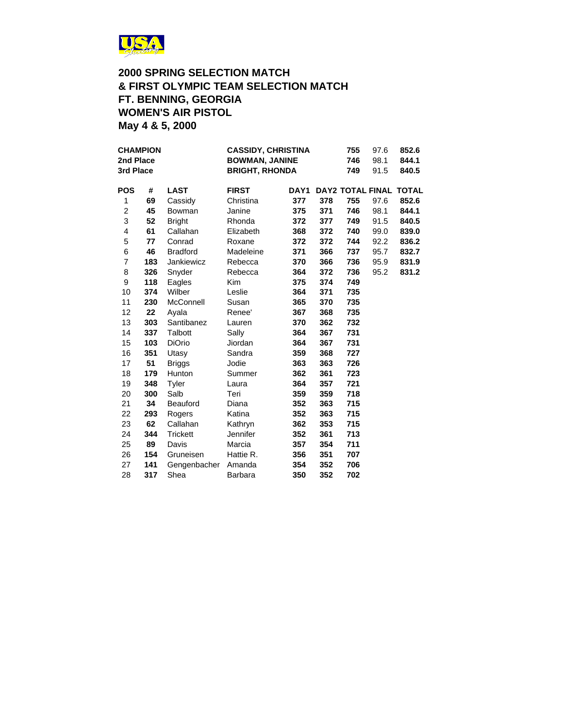

### **2000 SPRING SELECTION MATCH & FIRST OLYMPIC TEAM SELECTION MATCH FT. BENNING, GEORGIA WOMEN'S AIR PISTOL May 4 & 5, 2000**

| <b>CHAMPION</b><br>2nd Place<br>3rd Place |     | <b>CASSIDY, CHRISTINA</b><br><b>BOWMAN, JANINE</b><br><b>BRIGHT, RHONDA</b> |                 |                  | 755<br>746<br>749 | 97.6<br>98.1<br>91.5 | 852.6<br>844.1<br>840.5 |                               |
|-------------------------------------------|-----|-----------------------------------------------------------------------------|-----------------|------------------|-------------------|----------------------|-------------------------|-------------------------------|
| <b>POS</b>                                | #   | <b>LAST</b>                                                                 | <b>FIRST</b>    | DAY <sub>1</sub> |                   |                      |                         | <b>DAY2 TOTAL FINAL TOTAL</b> |
| 1                                         | 69  | Cassidy                                                                     | Christina       | 377              | 378               | 755                  | 97.6                    | 852.6                         |
| 2                                         | 45  | Bowman                                                                      | Janine          | 375              | 371               | 746                  | 98.1                    | 844.1                         |
| 3                                         | 52  | <b>Bright</b>                                                               | Rhonda          | 372              | 377               | 749                  | 91.5                    | 840.5                         |
| 4                                         | 61  | Callahan                                                                    | Elizabeth       | 368              | 372               | 740                  | 99.0                    | 839.0                         |
| 5                                         | 77  | Conrad                                                                      | Roxane          | 372              | 372               | 744                  | 92.2                    | 836.2                         |
| 6                                         | 46  | <b>Bradford</b>                                                             | Madeleine       | 371              | 366               | 737                  | 95.7                    | 832.7                         |
| $\overline{7}$                            | 183 | Jankiewicz                                                                  | Rebecca         | 370              | 366               | 736                  | 95.9                    | 831.9                         |
| 8                                         | 326 | Snyder                                                                      | Rebecca         | 364              | 372               | 736                  | 95.2                    | 831.2                         |
| 9                                         | 118 | Eagles                                                                      | <b>Kim</b>      | 375              | 374               | 749                  |                         |                               |
| 10                                        | 374 | Wilber                                                                      | Leslie          | 364              | 371               | 735                  |                         |                               |
| 11                                        | 230 | McConnell                                                                   | Susan           | 365              | 370               | 735                  |                         |                               |
| 12                                        | 22  | Ayala                                                                       | Renee'          | 367              | 368               | 735                  |                         |                               |
| 13                                        | 303 | Santibanez                                                                  | Lauren          | 370              | 362               | 732                  |                         |                               |
| 14                                        | 337 | Talbott                                                                     | Sally           | 364              | 367               | 731                  |                         |                               |
| 15                                        | 103 | <b>DiOrio</b>                                                               | Jiordan         | 364              | 367               | 731                  |                         |                               |
| 16                                        | 351 | Utasy                                                                       | Sandra          | 359              | 368               | 727                  |                         |                               |
| 17                                        | 51  | <b>Briggs</b>                                                               | Jodie           | 363              | 363               | 726                  |                         |                               |
| 18                                        | 179 | Hunton                                                                      | Summer          | 362              | 361               | 723                  |                         |                               |
| 19                                        | 348 | Tyler                                                                       | Laura           | 364              | 357               | 721                  |                         |                               |
| 20                                        | 300 | Salb                                                                        | Teri            | 359              | 359               | 718                  |                         |                               |
| 21                                        | 34  | <b>Beauford</b>                                                             | Diana           | 352              | 363               | 715                  |                         |                               |
| 22                                        | 293 | Rogers                                                                      | Katina          | 352              | 363               | 715                  |                         |                               |
| 23                                        | 62  | Callahan                                                                    | Kathryn         | 362              | 353               | 715                  |                         |                               |
| 24                                        | 344 | <b>Trickett</b>                                                             | <b>Jennifer</b> | 352              | 361               | 713                  |                         |                               |
| 25                                        | 89  | Davis                                                                       | Marcia          | 357              | 354               | 711                  |                         |                               |
| 26                                        | 154 | Gruneisen                                                                   | Hattie R.       | 356              | 351               | 707                  |                         |                               |
| 27                                        | 141 | Gengenbacher                                                                | Amanda          | 354              | 352               | 706                  |                         |                               |
| 28                                        | 317 | Shea                                                                        | Barbara         | 350              | 352               | 702                  |                         |                               |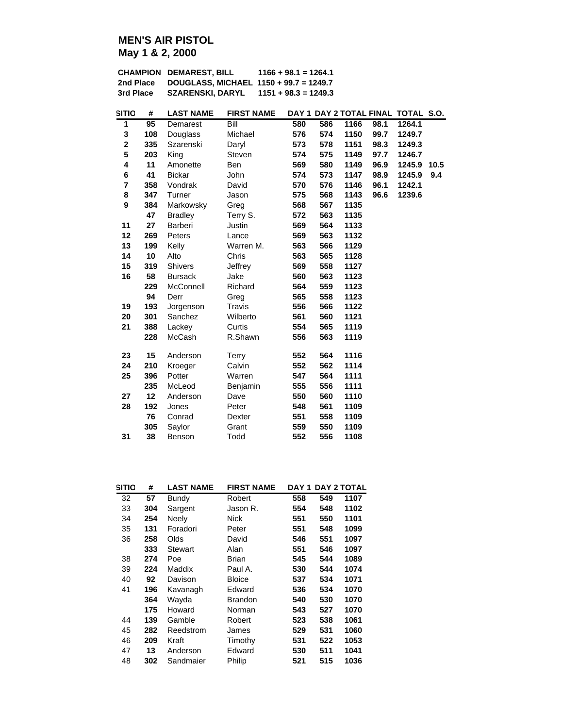## **MEN'S AIR PISTOL May 1 & 2, 2000**

|           | <b>CHAMPION DEMAREST, BILL</b>         | $1166 + 98.1 = 1264.1$ |
|-----------|----------------------------------------|------------------------|
| 2nd Place | DOUGLASS, MICHAEL 1150 + 99.7 = 1249.7 |                        |
| 3rd Place | <b>SZARENSKI, DARYL</b>                | $1151 + 98.3 = 1249.3$ |

| <b>SITIO</b> | #               | <b>LAST NAME</b> | <b>FIRST NAME</b> |     |     |      |      | DAY 1 DAY 2 TOTAL FINAL TOTAL S.O. |      |
|--------------|-----------------|------------------|-------------------|-----|-----|------|------|------------------------------------|------|
| 1            | $\overline{95}$ | Demarest         | Bill              | 580 | 586 | 1166 | 98.1 | 1264.1                             |      |
| 3            | 108             | Douglass         | Michael           | 576 | 574 | 1150 | 99.7 | 1249.7                             |      |
| $\mathbf 2$  | 335             | Szarenski        | Daryl             | 573 | 578 | 1151 | 98.3 | 1249.3                             |      |
| 5            | 203             | King             | Steven            | 574 | 575 | 1149 | 97.7 | 1246.7                             |      |
| 4            | 11              | Amonette         | Ben               | 569 | 580 | 1149 | 96.9 | 1245.9                             | 10.5 |
| 6            | 41              | <b>Bickar</b>    | John              | 574 | 573 | 1147 | 98.9 | 1245.9                             | 9.4  |
| 7            | 358             | Vondrak          | David             | 570 | 576 | 1146 | 96.1 | 1242.1                             |      |
| 8            | 347             | Turner           | Jason             | 575 | 568 | 1143 | 96.6 | 1239.6                             |      |
| 9            | 384             | Markowsky        | Greg              | 568 | 567 | 1135 |      |                                    |      |
|              | 47              | <b>Bradley</b>   | Terry S.          | 572 | 563 | 1135 |      |                                    |      |
| 11           | 27              | Barberi          | Justin            | 569 | 564 | 1133 |      |                                    |      |
| 12           | 269             | Peters           | Lance             | 569 | 563 | 1132 |      |                                    |      |
| 13           | 199             | Kelly            | Warren M.         | 563 | 566 | 1129 |      |                                    |      |
| 14           | 10              | Alto             | Chris             | 563 | 565 | 1128 |      |                                    |      |
| 15           | 319             | Shivers          | Jeffrey           | 569 | 558 | 1127 |      |                                    |      |
| 16           | 58              | <b>Bursack</b>   | Jake              | 560 | 563 | 1123 |      |                                    |      |
|              | 229             | McConnell        | Richard           | 564 | 559 | 1123 |      |                                    |      |
|              | 94              | Derr             | Greg              | 565 | 558 | 1123 |      |                                    |      |
| 19           | 193             | Jorgenson        | Travis            | 556 | 566 | 1122 |      |                                    |      |
| 20           | 301             | Sanchez          | Wilberto          | 561 | 560 | 1121 |      |                                    |      |
| 21           | 388             | Lackey           | Curtis            | 554 | 565 | 1119 |      |                                    |      |
|              | 228             | McCash           | R.Shawn           | 556 | 563 | 1119 |      |                                    |      |
| 23           | 15              | Anderson         | <b>Terry</b>      | 552 | 564 | 1116 |      |                                    |      |
| 24           | 210             | Kroeger          | Calvin            | 552 | 562 | 1114 |      |                                    |      |
| 25           | 396             | Potter           | Warren            | 547 | 564 | 1111 |      |                                    |      |
|              | 235             | McLeod           | Benjamin          | 555 | 556 | 1111 |      |                                    |      |
| 27           | 12              | Anderson         | Dave              | 550 | 560 | 1110 |      |                                    |      |
| 28           | 192             | Jones            | Peter             | 548 | 561 | 1109 |      |                                    |      |
|              | 76              | Conrad           | Dexter            | 551 | 558 | 1109 |      |                                    |      |
|              | 305             | Saylor           | Grant             | 559 | 550 | 1109 |      |                                    |      |
| 31           | 38              | Benson           | Todd              | 552 | 556 | 1108 |      |                                    |      |

| SITIO | #   | <b>LAST NAME</b> | <b>FIRST NAME</b> | DAY 1 |     | <b>DAY 2 TOTAL</b> |
|-------|-----|------------------|-------------------|-------|-----|--------------------|
| 32    | 57  | Bundy            | Robert            | 558   | 549 | 1107               |
| 33    | 304 | Sargent          | Jason R.          | 554   | 548 | 1102               |
| 34    | 254 | Neely            | Nick              | 551   | 550 | 1101               |
| 35    | 131 | Foradori         | Peter             | 551   | 548 | 1099               |
| 36    | 258 | Olds             | David             | 546   | 551 | 1097               |
|       | 333 | Stewart          | Alan              | 551   | 546 | 1097               |
| 38    | 274 | Poe              | Brian             | 545   | 544 | 1089               |
| 39    | 224 | Maddix           | Paul A.           | 530   | 544 | 1074               |
| 40    | 92  | Davison          | <b>Bloice</b>     | 537   | 534 | 1071               |
| 41    | 196 | Kavanagh         | Edward            | 536   | 534 | 1070               |
|       | 364 | Wayda            | <b>Brandon</b>    | 540   | 530 | 1070               |
|       | 175 | Howard           | Norman            | 543   | 527 | 1070               |
| 44    | 139 | Gamble           | Robert            | 523   | 538 | 1061               |
| 45    | 282 | Reedstrom        | James             | 529   | 531 | 1060               |
| 46    | 209 | Kraft            | Timothy           | 531   | 522 | 1053               |
| 47    | 13  | Anderson         | Edward            | 530   | 511 | 1041               |
| 48    | 302 | Sandmaier        | Philip            | 521   | 515 | 1036               |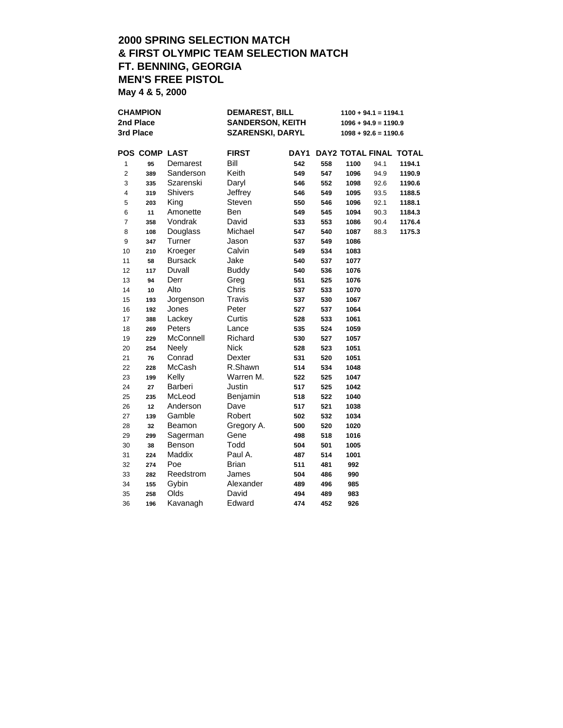# **2000 SPRING SELECTION MATCH & FIRST OLYMPIC TEAM SELECTION MATCH FT. BENNING, GEORGIA MEN'S FREE PISTOL**

**May 4 & 5, 2000**

| <b>CHAMPION</b>         |               |                | <b>DEMAREST, BILL</b> |                         | $1100 + 94.1 = 1194.1$ |                        |      |                        |  |
|-------------------------|---------------|----------------|-----------------------|-------------------------|------------------------|------------------------|------|------------------------|--|
|                         | 2nd Place     |                |                       | <b>SANDERSON, KEITH</b> |                        | $1096 + 94.9 = 1190.9$ |      |                        |  |
|                         | 3rd Place     |                |                       | <b>SZARENSKI, DARYL</b> |                        | $1098 + 92.6 = 1190.6$ |      |                        |  |
|                         | POS COMP LAST |                | <b>FIRST</b>          | DAY1                    |                        |                        |      | DAY2 TOTAL FINAL TOTAL |  |
| 1                       | 95            | Demarest       | Bill                  | 542                     | 558                    | 1100                   | 94.1 | 1194.1                 |  |
| $\overline{\mathbf{c}}$ | 389           | Sanderson      | Keith                 | 549                     | 547                    | 1096                   | 94.9 | 1190.9                 |  |
| 3                       | 335           | Szarenski      | Daryl                 | 546                     | 552                    | 1098                   | 92.6 | 1190.6                 |  |
| 4                       | 319           | <b>Shivers</b> | Jeffrey               | 546                     | 549                    | 1095                   | 93.5 | 1188.5                 |  |
| 5                       | 203           | King           | Steven                | 550                     | 546                    | 1096                   | 92.1 | 1188.1                 |  |
| 6                       | 11            | Amonette       | Ben                   | 549                     | 545                    | 1094                   | 90.3 | 1184.3                 |  |
| 7                       | 358           | Vondrak        | David                 | 533                     | 553                    | 1086                   | 90.4 | 1176.4                 |  |
| 8                       | 108           | Douglass       | Michael               | 547                     | 540                    | 1087                   | 88.3 | 1175.3                 |  |
| 9                       | 347           | Turner         | Jason                 | 537                     | 549                    | 1086                   |      |                        |  |
| 10                      | 210           | Kroeger        | Calvin                | 549                     | 534                    | 1083                   |      |                        |  |
| 11                      | 58            | <b>Bursack</b> | Jake                  | 540                     | 537                    | 1077                   |      |                        |  |
| 12                      | 117           | Duvall         | <b>Buddy</b>          | 540                     | 536                    | 1076                   |      |                        |  |
| 13                      | 94            | Derr           | Greg                  | 551                     | 525                    | 1076                   |      |                        |  |
| 14                      | 10            | Alto           | Chris                 | 537                     | 533                    | 1070                   |      |                        |  |
| 15                      | 193           | Jorgenson      | Travis                | 537                     | 530                    | 1067                   |      |                        |  |
| 16                      | 192           | Jones          | Peter                 | 527                     | 537                    | 1064                   |      |                        |  |
| 17                      | 388           | Lackey         | Curtis                | 528                     | 533                    | 1061                   |      |                        |  |
| 18                      | 269           | Peters         | Lance                 | 535                     | 524                    | 1059                   |      |                        |  |
| 19                      | 229           | McConnell      | Richard               | 530                     | 527                    | 1057                   |      |                        |  |
| 20                      | 254           | Neely          | <b>Nick</b>           | 528                     | 523                    | 1051                   |      |                        |  |
| 21                      | 76            | Conrad         | Dexter                | 531                     | 520                    | 1051                   |      |                        |  |
| 22                      | 228           | McCash         | R.Shawn               | 514                     | 534                    | 1048                   |      |                        |  |
| 23                      | 199           | Kelly          | Warren M.             | 522                     | 525                    | 1047                   |      |                        |  |
| 24                      | 27            | <b>Barberi</b> | Justin                | 517                     | 525                    | 1042                   |      |                        |  |
| 25                      | 235           | McLeod         | Benjamin              | 518                     | 522                    | 1040                   |      |                        |  |
| 26                      | 12            | Anderson       | Dave                  | 517                     | 521                    | 1038                   |      |                        |  |
| 27                      | 139           | Gamble         | Robert                | 502                     | 532                    | 1034                   |      |                        |  |
| 28                      | 32            | Beamon         | Gregory A.            | 500                     | 520                    | 1020                   |      |                        |  |
| 29                      | 299           | Sagerman       | Gene                  | 498                     | 518                    | 1016                   |      |                        |  |
| 30                      | 38            | Benson         | Todd                  | 504                     | 501                    | 1005                   |      |                        |  |
| 31                      | 224           | Maddix         | Paul A.               | 487                     | 514                    | 1001                   |      |                        |  |
| 32                      | 274           | Poe            | <b>Brian</b>          | 511                     | 481                    | 992                    |      |                        |  |
| 33                      | 282           | Reedstrom      | James                 | 504                     | 486                    | 990                    |      |                        |  |
| 34                      | 155           | Gybin          | Alexander             | 489                     | 496                    | 985                    |      |                        |  |
| 35                      | 258           | Olds           | David                 | 494                     | 489                    | 983                    |      |                        |  |
| 36                      | 196           | Kavanagh       | Edward                | 474                     | 452                    | 926                    |      |                        |  |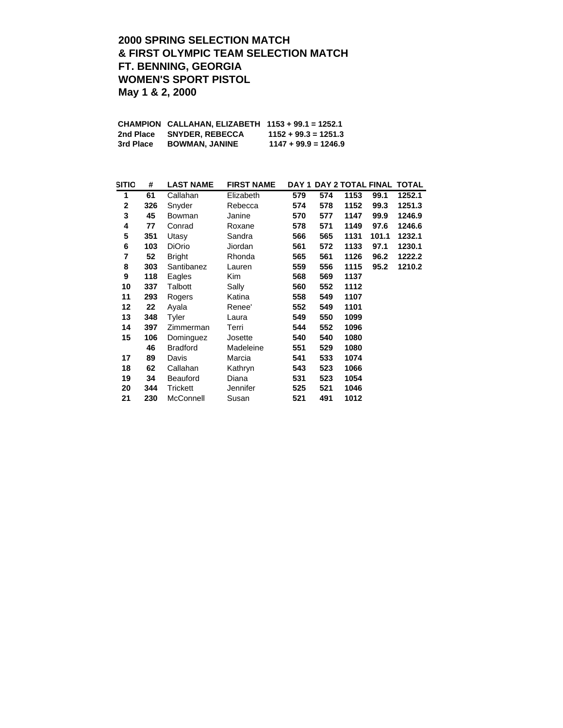### **2000 SPRING SELECTION MATCH & FIRST OLYMPIC TEAM SELECTION MATCH FT. BENNING, GEORGIA WOMEN'S SPORT PISTOL May 1 & 2, 2000**

|           | CHAMPION CALLAHAN, ELIZABETH 1153 + 99.1 = 1252.1 |                        |
|-----------|---------------------------------------------------|------------------------|
| 2nd Place | <b>SNYDER, REBECCA</b>                            | $1152 + 99.3 = 1251.3$ |
| 3rd Place | <b>BOWMAN, JANINE</b>                             | $1147 + 99.9 = 1246.9$ |

| SITIO        | #   | <b>LAST NAME</b> | <b>FIRST NAME</b> |     |     |      |       | DAY 1 DAY 2 TOTAL FINAL TOTAL |
|--------------|-----|------------------|-------------------|-----|-----|------|-------|-------------------------------|
| 1            | 61  | Callahan         | Elizabeth         | 579 | 574 | 1153 | 99.1  | 1252.1                        |
| $\mathbf{2}$ | 326 | Snyder           | Rebecca           | 574 | 578 | 1152 | 99.3  | 1251.3                        |
| 3            | 45  | Bowman           | Janine            | 570 | 577 | 1147 | 99.9  | 1246.9                        |
| 4            | 77  | Conrad           | Roxane            | 578 | 571 | 1149 | 97.6  | 1246.6                        |
| 5            | 351 | Utasy            | Sandra            | 566 | 565 | 1131 | 101.1 | 1232.1                        |
| 6            | 103 | <b>DiOrio</b>    | Jiordan           | 561 | 572 | 1133 | 97.1  | 1230.1                        |
| 7            | 52  | <b>Bright</b>    | Rhonda            | 565 | 561 | 1126 | 96.2  | 1222.2                        |
| 8            | 303 | Santibanez       | Lauren            | 559 | 556 | 1115 | 95.2  | 1210.2                        |
| 9            | 118 | Eagles           | Kim               | 568 | 569 | 1137 |       |                               |
| 10           | 337 | Talbott          | Sally             | 560 | 552 | 1112 |       |                               |
| 11           | 293 | Rogers           | Katina            | 558 | 549 | 1107 |       |                               |
| 12           | 22  | Ayala            | Renee'            | 552 | 549 | 1101 |       |                               |
| 13           | 348 | Tyler            | Laura             | 549 | 550 | 1099 |       |                               |
| 14           | 397 | Zimmerman        | Terri             | 544 | 552 | 1096 |       |                               |
| 15           | 106 | Dominguez        | Josette           | 540 | 540 | 1080 |       |                               |
|              | 46  | <b>Bradford</b>  | Madeleine         | 551 | 529 | 1080 |       |                               |
| 17           | 89  | Davis            | Marcia            | 541 | 533 | 1074 |       |                               |
| 18           | 62  | Callahan         | Kathryn           | 543 | 523 | 1066 |       |                               |
| 19           | 34  | <b>Beauford</b>  | Diana             | 531 | 523 | 1054 |       |                               |
| 20           | 344 | Trickett         | Jennifer          | 525 | 521 | 1046 |       |                               |
| 21           | 230 | McConnell        | Susan             | 521 | 491 | 1012 |       |                               |